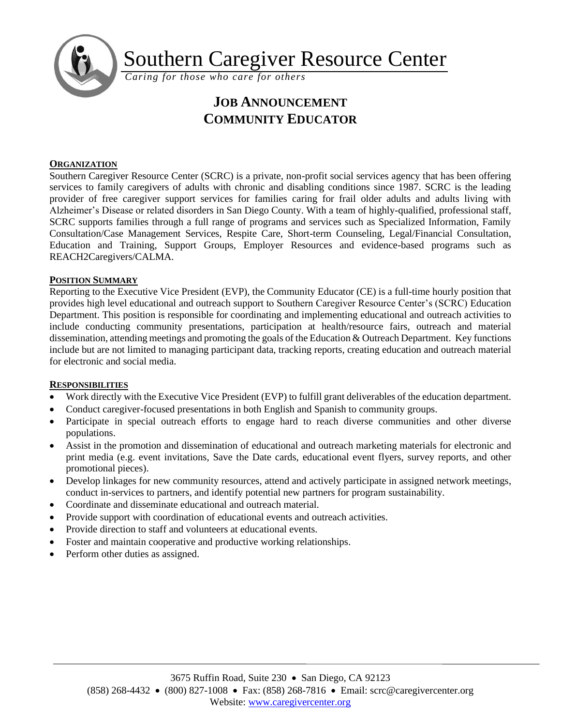

Southern Caregiver Resource Center

*Caring for those who care for others*

# **JOB ANNOUNCEMENT COMMUNITY EDUCATOR**

## **ORGANIZATION**

Southern Caregiver Resource Center (SCRC) is a private, non-profit social services agency that has been offering services to family caregivers of adults with chronic and disabling conditions since 1987. SCRC is the leading provider of free caregiver support services for families caring for frail older adults and adults living with Alzheimer's Disease or related disorders in San Diego County. With a team of highly-qualified, professional staff, SCRC supports families through a full range of programs and services such as Specialized Information, Family Consultation/Case Management Services, Respite Care, Short-term Counseling, Legal/Financial Consultation, Education and Training, Support Groups, Employer Resources and evidence-based programs such as REACH2Caregivers/CALMA.

### **POSITION SUMMARY**

Reporting to the Executive Vice President (EVP), the Community Educator (CE) is a full-time hourly position that provides high level educational and outreach support to Southern Caregiver Resource Center's (SCRC) Education Department. This position is responsible for coordinating and implementing educational and outreach activities to include conducting community presentations, participation at health/resource fairs, outreach and material dissemination, attending meetings and promoting the goals of the Education & Outreach Department. Key functions include but are not limited to managing participant data, tracking reports, creating education and outreach material for electronic and social media.

### **RESPONSIBILITIES**

- Work directly with the Executive Vice President (EVP) to fulfill grant deliverables of the education department.
- Conduct caregiver-focused presentations in both English and Spanish to community groups.
- Participate in special outreach efforts to engage hard to reach diverse communities and other diverse populations.
- Assist in the promotion and dissemination of educational and outreach marketing materials for electronic and print media (e.g. event invitations, Save the Date cards, educational event flyers, survey reports, and other promotional pieces).
- Develop linkages for new community resources, attend and actively participate in assigned network meetings, conduct in-services to partners, and identify potential new partners for program sustainability.
- Coordinate and disseminate educational and outreach material.
- Provide support with coordination of educational events and outreach activities.
- Provide direction to staff and volunteers at educational events.
- Foster and maintain cooperative and productive working relationships.
- Perform other duties as assigned.